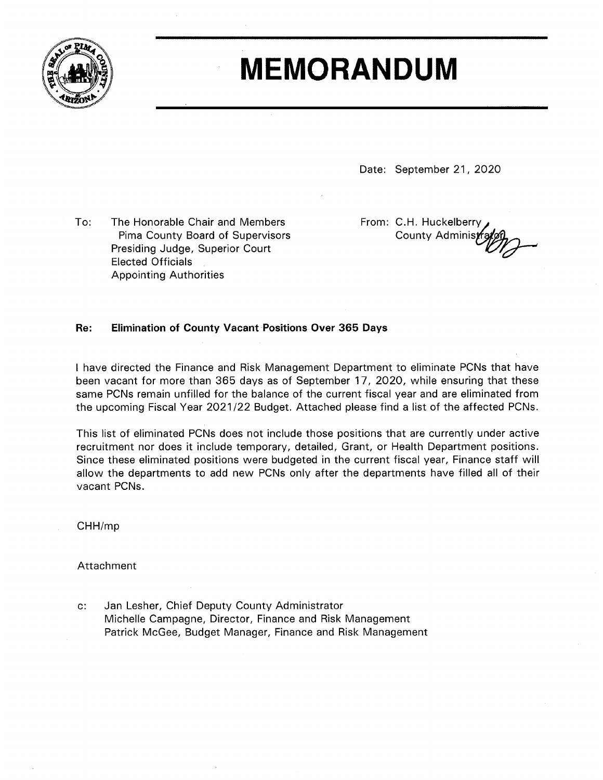

## **MEMORANDUM**

Date: September 21, 2020

To: The Honorable Chair and Members Pima County Board of Supervisors Presiding Judge, Superior Court **Elected Officials Appointing Authorities** 

From: C.H. Huckelberry County Administ

## Re: **Elimination of County Vacant Positions Over 365 Days**

I have directed the Finance and Risk Management Department to eliminate PCNs that have been vacant for more than 365 days as of September 17, 2020, while ensuring that these same PCNs remain unfilled for the balance of the current fiscal year and are eliminated from the upcoming Fiscal Year 2021/22 Budget. Attached please find a list of the affected PCNs.

This list of eliminated PCNs does not include those positions that are currently under active recruitment nor does it include temporary, detailed, Grant, or Health Department positions. Since these eliminated positions were budgeted in the current fiscal year, Finance staff will allow the departments to add new PCNs only after the departments have filled all of their vacant PCNs.

CHH/mp

Attachment

 $c$ : Jan Lesher, Chief Deputy County Administrator Michelle Campagne, Director, Finance and Risk Management Patrick McGee, Budget Manager, Finance and Risk Management